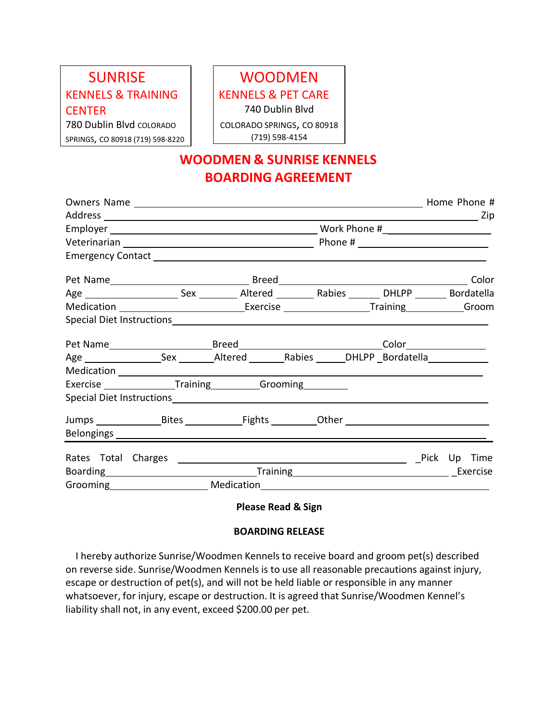## SUNRISE KENNELS & TRAINING **CENTER** 780 Dublin Blvd COLORADO SPRINGS, CO 80918 (719) 598-8220

## WOODMEN KENNELS & PET CARE 740 Dublin Blvd COLORADO SPRINGS, CO 80918

(719) 598-4154

## **WOODMEN & SUNRISE KENNELS BOARDING AGREEMENT**

| Exercise _________________Training __________Grooming _________                                                      |                            |  |  |  |  |  |  |
|----------------------------------------------------------------------------------------------------------------------|----------------------------|--|--|--|--|--|--|
|                                                                                                                      |                            |  |  |  |  |  |  |
|                                                                                                                      |                            |  |  |  |  |  |  |
|                                                                                                                      |                            |  |  |  |  |  |  |
| Rates Total Charges <b>Example 20 and Charges</b> 2014 and 2015 and 2017 and 2018 and 2019 and 2019 and 2019 and 201 |                            |  |  |  |  |  |  |
|                                                                                                                      | Boarding Exercise Exercise |  |  |  |  |  |  |
| Grooming Medication Medication Medication Crooming Medication Medication Crooming Medication Crooming Crooming       |                            |  |  |  |  |  |  |

**Please Read & Sign**

## **BOARDING RELEASE**

I hereby authorize Sunrise/Woodmen Kennels to receive board and groom pet(s) described on reverse side. Sunrise/Woodmen Kennels is to use all reasonable precautions against injury, escape or destruction of pet(s), and will not be held liable or responsible in any manner whatsoever, for injury, escape or destruction. It is agreed that Sunrise/Woodmen Kennel's liability shall not, in any event, exceed \$200.00 per pet.